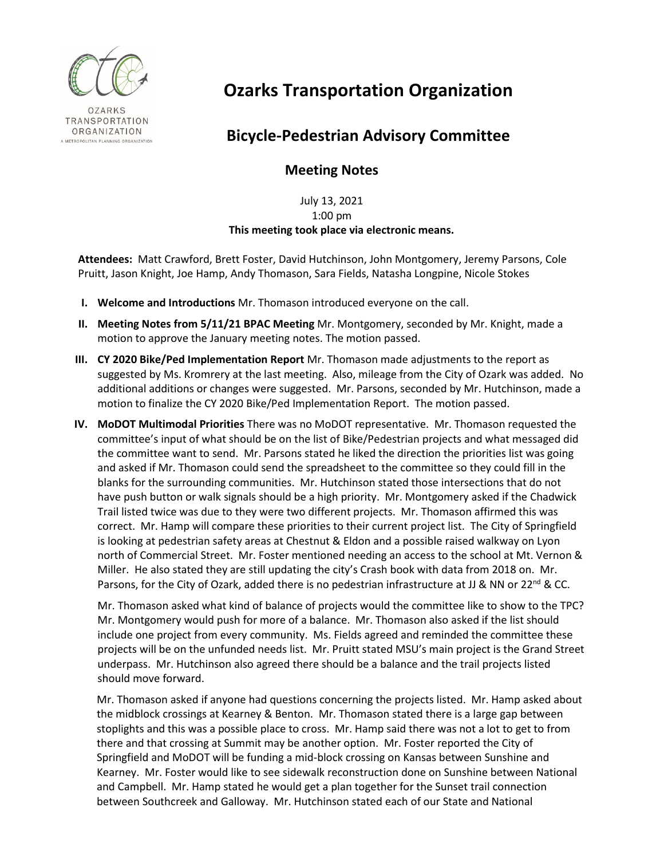

## **Ozarks Transportation Organization**

## **Bicycle-Pedestrian Advisory Committee**

## **Meeting Notes**

July 13, 2021 1:00 pm **This meeting took place via electronic means.**

**Attendees:** Matt Crawford, Brett Foster, David Hutchinson, John Montgomery, Jeremy Parsons, Cole Pruitt, Jason Knight, Joe Hamp, Andy Thomason, Sara Fields, Natasha Longpine, Nicole Stokes

- **I. Welcome and Introductions** Mr. Thomason introduced everyone on the call.
- **II. Meeting Notes from 5/11/21 BPAC Meeting** Mr. Montgomery, seconded by Mr. Knight, made a motion to approve the January meeting notes. The motion passed.
- **III. CY 2020 Bike/Ped Implementation Report** Mr. Thomason made adjustments to the report as suggested by Ms. Kromrery at the last meeting. Also, mileage from the City of Ozark was added. No additional additions or changes were suggested. Mr. Parsons, seconded by Mr. Hutchinson, made a motion to finalize the CY 2020 Bike/Ped Implementation Report. The motion passed.
- **IV. MoDOT Multimodal Priorities** There was no MoDOT representative. Mr. Thomason requested the committee's input of what should be on the list of Bike/Pedestrian projects and what messaged did the committee want to send. Mr. Parsons stated he liked the direction the priorities list was going and asked if Mr. Thomason could send the spreadsheet to the committee so they could fill in the blanks for the surrounding communities. Mr. Hutchinson stated those intersections that do not have push button or walk signals should be a high priority. Mr. Montgomery asked if the Chadwick Trail listed twice was due to they were two different projects. Mr. Thomason affirmed this was correct. Mr. Hamp will compare these priorities to their current project list. The City of Springfield is looking at pedestrian safety areas at Chestnut & Eldon and a possible raised walkway on Lyon north of Commercial Street. Mr. Foster mentioned needing an access to the school at Mt. Vernon & Miller. He also stated they are still updating the city's Crash book with data from 2018 on. Mr. Parsons, for the City of Ozark, added there is no pedestrian infrastructure at JJ & NN or 22<sup>nd</sup> & CC.

Mr. Thomason asked what kind of balance of projects would the committee like to show to the TPC? Mr. Montgomery would push for more of a balance. Mr. Thomason also asked if the list should include one project from every community. Ms. Fields agreed and reminded the committee these projects will be on the unfunded needs list. Mr. Pruitt stated MSU's main project is the Grand Street underpass. Mr. Hutchinson also agreed there should be a balance and the trail projects listed should move forward.

Mr. Thomason asked if anyone had questions concerning the projects listed. Mr. Hamp asked about the midblock crossings at Kearney & Benton. Mr. Thomason stated there is a large gap between stoplights and this was a possible place to cross. Mr. Hamp said there was not a lot to get to from there and that crossing at Summit may be another option. Mr. Foster reported the City of Springfield and MoDOT will be funding a mid-block crossing on Kansas between Sunshine and Kearney. Mr. Foster would like to see sidewalk reconstruction done on Sunshine between National and Campbell. Mr. Hamp stated he would get a plan together for the Sunset trail connection between Southcreek and Galloway. Mr. Hutchinson stated each of our State and National